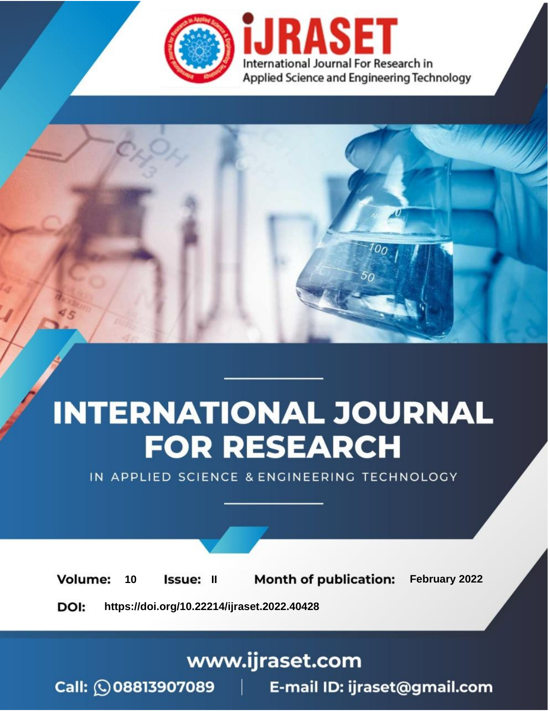

# **INTERNATIONAL JOURNAL FOR RESEARCH**

IN APPLIED SCIENCE & ENGINEERING TECHNOLOGY

**Month of publication:** February 2022 **Volume:** 10 **Issue: II** DOI: https://doi.org/10.22214/ijraset.2022.40428

www.ijraset.com

 $Call: \bigcirc$ 08813907089 E-mail ID: ijraset@gmail.com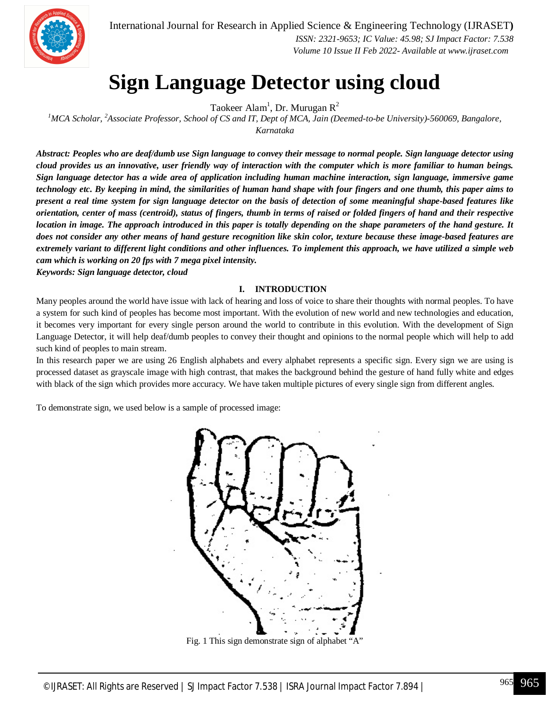

### **Sign Language Detector using cloud**

Taokeer Alam<sup>1</sup>, Dr. Murugan R<sup>2</sup>

*<sup>1</sup>MCA Scholar, <sup>2</sup>Associate Professor, School of CS and IT, Dept of MCA, Jain (Deemed-to-be University)-560069, Bangalore, Karnataka*

*Abstract: Peoples who are deaf/dumb use Sign language to convey their message to normal people. Sign language detector using cloud provides us an innovative, user friendly way of interaction with the computer which is more familiar to human beings. Sign language detector has a wide area of application including human machine interaction, sign language, immersive game technology etc. By keeping in mind, the similarities of human hand shape with four fingers and one thumb, this paper aims to present a real time system for sign language detector on the basis of detection of some meaningful shape-based features like orientation, center of mass (centroid), status of fingers, thumb in terms of raised or folded fingers of hand and their respective location in image. The approach introduced in this paper is totally depending on the shape parameters of the hand gesture. It does not consider any other means of hand gesture recognition like skin color, texture because these image-based features are extremely variant to different light conditions and other influences. To implement this approach, we have utilized a simple web cam which is working on 20 fps with 7 mega pixel intensity.*

*Keywords: Sign language detector, cloud*

#### **I. INTRODUCTION**

Many peoples around the world have issue with lack of hearing and loss of voice to share their thoughts with normal peoples. To have a system for such kind of peoples has become most important. With the evolution of new world and new technologies and education, it becomes very important for every single person around the world to contribute in this evolution. With the development of Sign Language Detector, it will help deaf/dumb peoples to convey their thought and opinions to the normal people which will help to add such kind of peoples to main stream.

In this research paper we are using 26 English alphabets and every alphabet represents a specific sign. Every sign we are using is processed dataset as grayscale image with high contrast, that makes the background behind the gesture of hand fully white and edges with black of the sign which provides more accuracy. We have taken multiple pictures of every single sign from different angles.

To demonstrate sign, we used below is a sample of processed image:



Fig. 1 This sign demonstrate sign of alphabet "A"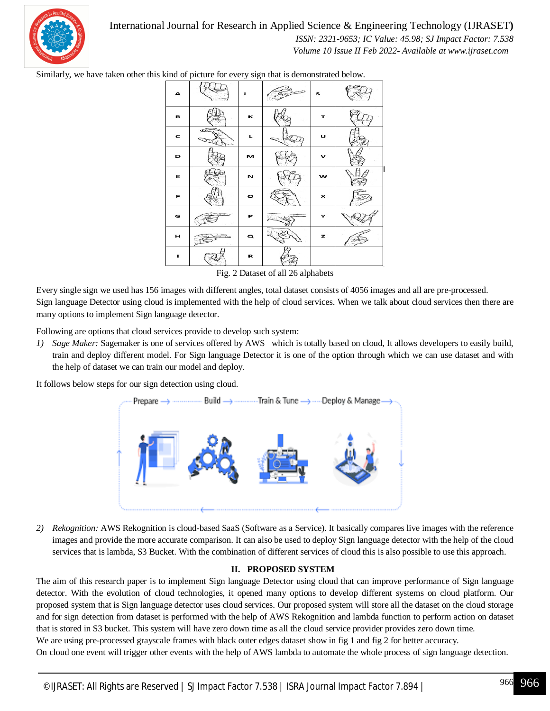

International Journal for Research in Applied Science & Engineering Technology (IJRASET**)**

 *ISSN: 2321-9653; IC Value: 45.98; SJ Impact Factor: 7.538 Volume 10 Issue II Feb 2022- Available at www.ijraset.com*

Similarly, we have taken other this kind of picture for every sign that is demonstrated below.

| А |   | Л         | s |  |
|---|---|-----------|---|--|
| в |   | к         | т |  |
| c | æ | ц         | U |  |
| D |   | м         | ✓ |  |
| Е |   | N         | w |  |
| F |   | $\bullet$ | × |  |
| G |   | Р         |   |  |
| н |   | Q         | z |  |
| ٠ |   | R         |   |  |

Fig. 2 Dataset of all 26 alphabets

Every single sign we used has 156 images with different angles, total dataset consists of 4056 images and all are pre-processed. Sign language Detector using cloud is implemented with the help of cloud services. When we talk about cloud services then there are many options to implement Sign language detector.

Following are options that cloud services provide to develop such system:

*1) Sage Maker:* Sagemaker is one of services offered by AWS which is totally based on cloud, It allows developers to easily build, train and deploy different model. For Sign language Detector it is one of the option through which we can use dataset and with the help of dataset we can train our model and deploy.

It follows below steps for our sign detection using cloud.



*2) Rekognition:* AWS Rekognition is cloud-based SaaS (Software as a Service). It basically compares live images with the reference images and provide the more accurate comparison. It can also be used to deploy Sign language detector with the help of the cloud services that is lambda, S3 Bucket. With the combination of different services of cloud this is also possible to use this approach.

#### **II. PROPOSED SYSTEM**

The aim of this research paper is to implement Sign language Detector using cloud that can improve performance of Sign language detector. With the evolution of cloud technologies, it opened many options to develop different systems on cloud platform. Our proposed system that is Sign language detector uses cloud services. Our proposed system will store all the dataset on the cloud storage and for sign detection from dataset is performed with the help of AWS Rekognition and lambda function to perform action on dataset that is stored in S3 bucket. This system will have zero down time as all the cloud service provider provides zero down time.

We are using pre-processed grayscale frames with black outer edges dataset show in fig 1 and fig 2 for better accuracy.

On cloud one event will trigger other events with the help of AWS lambda to automate the whole process of sign language detection.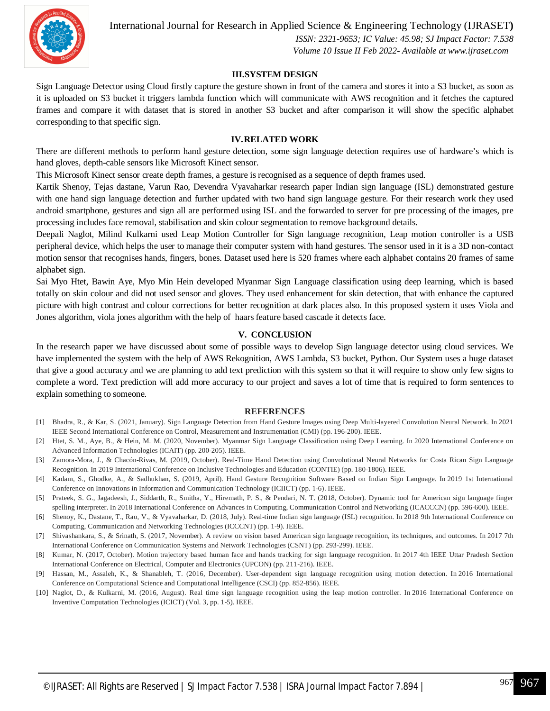

International Journal for Research in Applied Science & Engineering Technology (IJRASET**)**

 *ISSN: 2321-9653; IC Value: 45.98; SJ Impact Factor: 7.538 Volume 10 Issue II Feb 2022- Available at www.ijraset.com*

#### **III.SYSTEM DESIGN**

Sign Language Detector using Cloud firstly capture the gesture shown in front of the camera and stores it into a S3 bucket, as soon as it is uploaded on S3 bucket it triggers lambda function which will communicate with AWS recognition and it fetches the captured frames and compare it with dataset that is stored in another S3 bucket and after comparison it will show the specific alphabet corresponding to that specific sign.

#### **IV.RELATED WORK**

There are different methods to perform hand gesture detection, some sign language detection requires use of hardware's which is hand gloves, depth-cable sensors like Microsoft Kinect sensor.

This Microsoft Kinect sensor create depth frames, a gesture is recognised as a sequence of depth frames used.

Kartik Shenoy, Tejas dastane, Varun Rao, Devendra Vyavaharkar research paper Indian sign language (ISL) demonstrated gesture with one hand sign language detection and further updated with two hand sign language gesture. For their research work they used android smartphone, gestures and sign all are performed using ISL and the forwarded to server for pre processing of the images, pre processing includes face removal, stabilisation and skin colour segmentation to remove background details.

Deepali Naglot, Milind Kulkarni used Leap Motion Controller for Sign language recognition, Leap motion controller is a USB peripheral device, which helps the user to manage their computer system with hand gestures. The sensor used in it is a 3D non-contact motion sensor that recognises hands, fingers, bones. Dataset used here is 520 frames where each alphabet contains 20 frames of same alphabet sign.

Sai Myo Htet, Bawin Aye, Myo Min Hein developed Myanmar Sign Language classification using deep learning, which is based totally on skin colour and did not used sensor and gloves. They used enhancement for skin detection, that with enhance the captured picture with high contrast and colour corrections for better recognition at dark places also. In this proposed system it uses Viola and Jones algorithm, viola jones algorithm with the help of haars feature based cascade it detects face.

#### **V. CONCLUSION**

In the research paper we have discussed about some of possible ways to develop Sign language detector using cloud services. We have implemented the system with the help of AWS Rekognition, AWS Lambda, S3 bucket, Python. Our System uses a huge dataset that give a good accuracy and we are planning to add text prediction with this system so that it will require to show only few signs to complete a word. Text prediction will add more accuracy to our project and saves a lot of time that is required to form sentences to explain something to someone.

#### **REFERENCES**

- [1] Bhadra, R., & Kar, S. (2021, January). Sign Language Detection from Hand Gesture Images using Deep Multi-layered Convolution Neural Network. In 2021 IEEE Second International Conference on Control, Measurement and Instrumentation (CMI) (pp. 196-200). IEEE.
- [2] Htet, S. M., Aye, B., & Hein, M. M. (2020, November). Myanmar Sign Language Classification using Deep Learning. In 2020 International Conference on Advanced Information Technologies (ICAIT) (pp. 200-205). IEEE.
- [3] Zamora-Mora, J., & Chacón-Rivas, M. (2019, October). Real-Time Hand Detection using Convolutional Neural Networks for Costa Rican Sign Language Recognition. In 2019 International Conference on Inclusive Technologies and Education (CONTIE) (pp. 180-1806). IEEE.
- [4] Kadam, S., Ghodke, A., & Sadhukhan, S. (2019, April). Hand Gesture Recognition Software Based on Indian Sign Language. In 2019 1st International Conference on Innovations in Information and Communication Technology (ICIICT) (pp. 1-6). IEEE.
- [5] Prateek, S. G., Jagadeesh, J., Siddarth, R., Smitha, Y., Hiremath, P. S., & Pendari, N. T. (2018, October). Dynamic tool for American sign language finger spelling interpreter. In 2018 International Conference on Advances in Computing, Communication Control and Networking (ICACCCN) (pp. 596-600). IEEE.
- [6] Shenoy, K., Dastane, T., Rao, V., & Vyavaharkar, D. (2018, July). Real-time Indian sign language (ISL) recognition. In 2018 9th International Conference on Computing, Communication and Networking Technologies (ICCCNT) (pp. 1-9). IEEE.
- [7] Shivashankara, S., & Srinath, S. (2017, November). A review on vision based American sign language recognition, its techniques, and outcomes. In 2017 7th International Conference on Communication Systems and Network Technologies (CSNT) (pp. 293-299). IEEE.
- [8] Kumar, N. (2017, October). Motion trajectory based human face and hands tracking for sign language recognition. In 2017 4th IEEE Uttar Pradesh Section International Conference on Electrical, Computer and Electronics (UPCON) (pp. 211-216). IEEE.
- [9] Hassan, M., Assaleh, K., & Shanableh, T. (2016, December). User-dependent sign language recognition using motion detection. In 2016 International Conference on Computational Science and Computational Intelligence (CSCI) (pp. 852-856). IEEE.
- [10] Naglot, D., & Kulkarni, M. (2016, August). Real time sign language recognition using the leap motion controller. In 2016 International Conference on Inventive Computation Technologies (ICICT) (Vol. 3, pp. 1-5). IEEE.